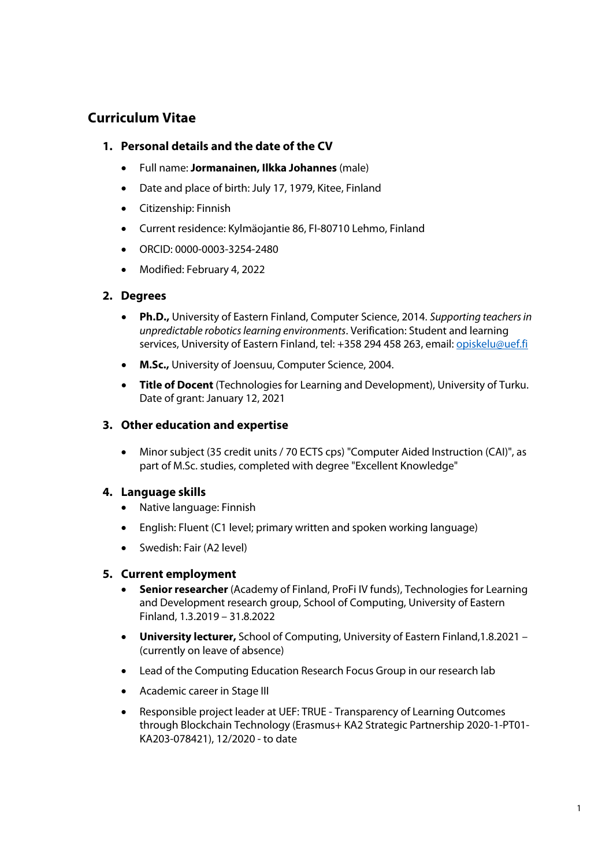# **Curriculum Vitae**

# **1. Personal details and the date of the CV**

- Full name: **Jormanainen, Ilkka Johannes** (male)
- Date and place of birth: July 17, 1979, Kitee, Finland
- Citizenship: Finnish
- Current residence: Kylmäojantie 86, FI-80710 Lehmo, Finland
- ORCID: 0000-0003-3254-2480
- Modified: February 4, 2022

# **2. Degrees**

- **Ph.D.,** University of Eastern Finland, Computer Science, 2014. *Supporting teachers in unpredictable robotics learning environments*. Verification: Student and learning services, University of Eastern Finland, tel: +358 294 458 263, email: opiskelu@uef.fi
- **M.Sc.,** University of Joensuu, Computer Science, 2004.
- **Title of Docent** (Technologies for Learning and Development), University of Turku. Date of grant: January 12, 2021

# **3. Other education and expertise**

• Minor subject (35 credit units / 70 ECTS cps) "Computer Aided Instruction (CAI)", as part of M.Sc. studies, completed with degree "Excellent Knowledge"

# **4. Language skills**

- Native language: Finnish
- English: Fluent (C1 level; primary written and spoken working language)
- Swedish: Fair (A2 level)

## **5. Current employment**

- **Senior researcher** (Academy of Finland, ProFi IV funds), Technologies for Learning and Development research group, School of Computing, University of Eastern Finland, 1.3.2019 – 31.8.2022
- **University lecturer,** School of Computing, University of Eastern Finland,1.8.2021 (currently on leave of absence)
- Lead of the Computing Education Research Focus Group in our research lab
- Academic career in Stage III
- Responsible project leader at UEF: TRUE Transparency of Learning Outcomes through Blockchain Technology (Erasmus+ KA2 Strategic Partnership 2020-1-PT01- KA203-078421), 12/2020 - to date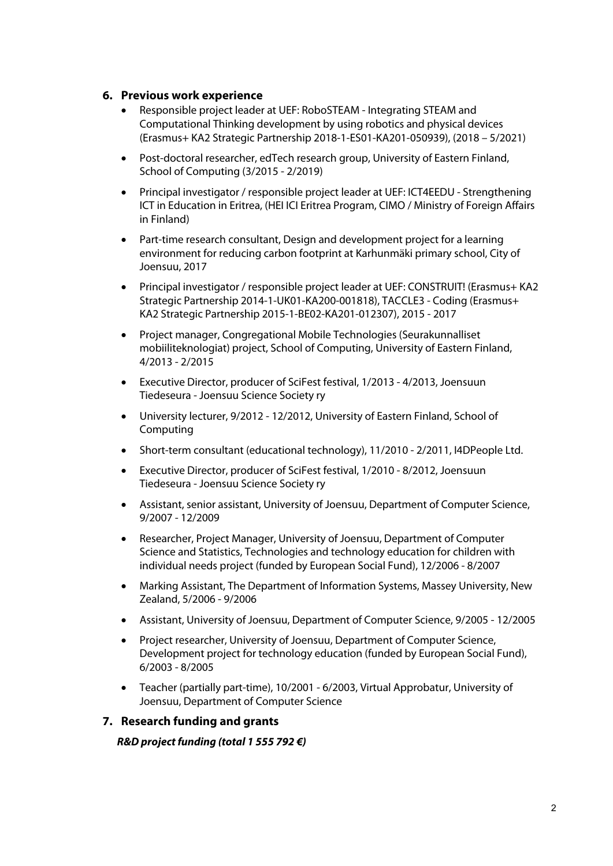## **6. Previous work experience**

- Responsible project leader at UEF: RoboSTEAM Integrating STEAM and Computational Thinking development by using robotics and physical devices (Erasmus+ KA2 Strategic Partnership 2018-1-ES01-KA201-050939), (2018 – 5/2021)
- Post-doctoral researcher, edTech research group, University of Eastern Finland, School of Computing (3/2015 - 2/2019)
- Principal investigator / responsible project leader at UEF: ICT4EEDU Strengthening ICT in Education in Eritrea, (HEI ICI Eritrea Program, CIMO / Ministry of Foreign Affairs in Finland)
- Part-time research consultant, Design and development project for a learning environment for reducing carbon footprint at Karhunmäki primary school, City of Joensuu, 2017
- Principal investigator / responsible project leader at UEF: CONSTRUIT! (Erasmus+ KA2 Strategic Partnership 2014-1-UK01-KA200-001818), TACCLE3 - Coding (Erasmus+ KA2 Strategic Partnership 2015-1-BE02-KA201-012307), 2015 - 2017
- Project manager, Congregational Mobile Technologies (Seurakunnalliset mobiiliteknologiat) project, School of Computing, University of Eastern Finland, 4/2013 - 2/2015
- Executive Director, producer of SciFest festival, 1/2013 4/2013, Joensuun Tiedeseura - Joensuu Science Society ry
- University lecturer, 9/2012 12/2012, University of Eastern Finland, School of Computing
- Short-term consultant (educational technology), 11/2010 2/2011, I4DPeople Ltd.
- Executive Director, producer of SciFest festival, 1/2010 8/2012, Joensuun Tiedeseura - Joensuu Science Society ry
- Assistant, senior assistant, University of Joensuu, Department of Computer Science, 9/2007 - 12/2009
- Researcher, Project Manager, University of Joensuu, Department of Computer Science and Statistics, Technologies and technology education for children with individual needs project (funded by European Social Fund), 12/2006 - 8/2007
- Marking Assistant, The Department of Information Systems, Massey University, New Zealand, 5/2006 - 9/2006
- Assistant, University of Joensuu, Department of Computer Science, 9/2005 12/2005
- Project researcher, University of Joensuu, Department of Computer Science, Development project for technology education (funded by European Social Fund), 6/2003 - 8/2005
- Teacher (partially part-time), 10/2001 6/2003, Virtual Approbatur, University of Joensuu, Department of Computer Science

## **7. Research funding and grants**

*R&D project funding (total 1 555 792* **€***)*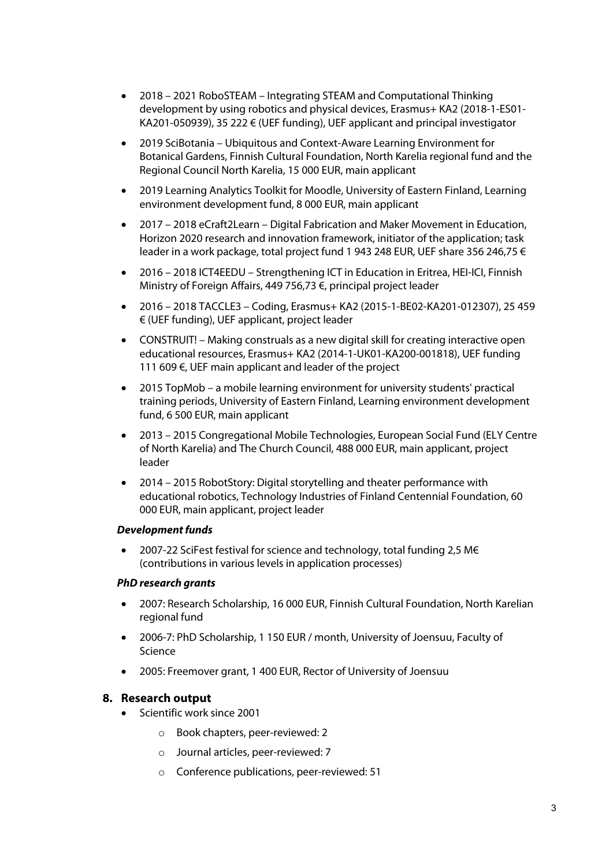- 2018 2021 RoboSTEAM Integrating STEAM and Computational Thinking development by using robotics and physical devices, Erasmus+ KA2 (2018-1-ES01- KA201-050939), 35 222 € (UEF funding), UEF applicant and principal investigator
- 2019 SciBotania Ubiquitous and Context-Aware Learning Environment for Botanical Gardens, Finnish Cultural Foundation, North Karelia regional fund and the Regional Council North Karelia, 15 000 EUR, main applicant
- 2019 Learning Analytics Toolkit for Moodle, University of Eastern Finland, Learning environment development fund, 8 000 EUR, main applicant
- 2017 2018 eCraft2Learn Digital Fabrication and Maker Movement in Education, Horizon 2020 research and innovation framework, initiator of the application; task leader in a work package, total project fund 1 943 248 EUR, UEF share 356 246,75 €
- 2016 2018 ICT4EEDU Strengthening ICT in Education in Eritrea, HEI-ICI, Finnish Ministry of Foreign Affairs, 449 756,73 €, principal project leader
- 2016 2018 TACCLE3 Coding, Erasmus+ KA2 (2015-1-BE02-KA201-012307), 25 459 € (UEF funding), UEF applicant, project leader
- CONSTRUIT! Making construals as a new digital skill for creating interactive open educational resources, Erasmus+ KA2 (2014-1-UK01-KA200-001818), UEF funding 111 609 €, UEF main applicant and leader of the project
- 2015 TopMob a mobile learning environment for university students' practical training periods, University of Eastern Finland, Learning environment development fund, 6 500 EUR, main applicant
- 2013 2015 Congregational Mobile Technologies, European Social Fund (ELY Centre of North Karelia) and The Church Council, 488 000 EUR, main applicant, project leader
- 2014 2015 RobotStory: Digital storytelling and theater performance with educational robotics, Technology Industries of Finland Centennial Foundation, 60 000 EUR, main applicant, project leader

## *Development funds*

• 2007-22 SciFest festival for science and technology, total funding 2,5 M€ (contributions in various levels in application processes)

#### *PhD research grants*

- 2007: Research Scholarship, 16 000 EUR, Finnish Cultural Foundation, North Karelian regional fund
- 2006-7: PhD Scholarship, 1 150 EUR / month, University of Joensuu, Faculty of Science
- 2005: Freemover grant, 1 400 EUR, Rector of University of Joensuu

## **8. Research output**

- Scientific work since 2001
	- o Book chapters, peer-reviewed: 2
	- o Journal articles, peer-reviewed: 7
	- o Conference publications, peer-reviewed: 51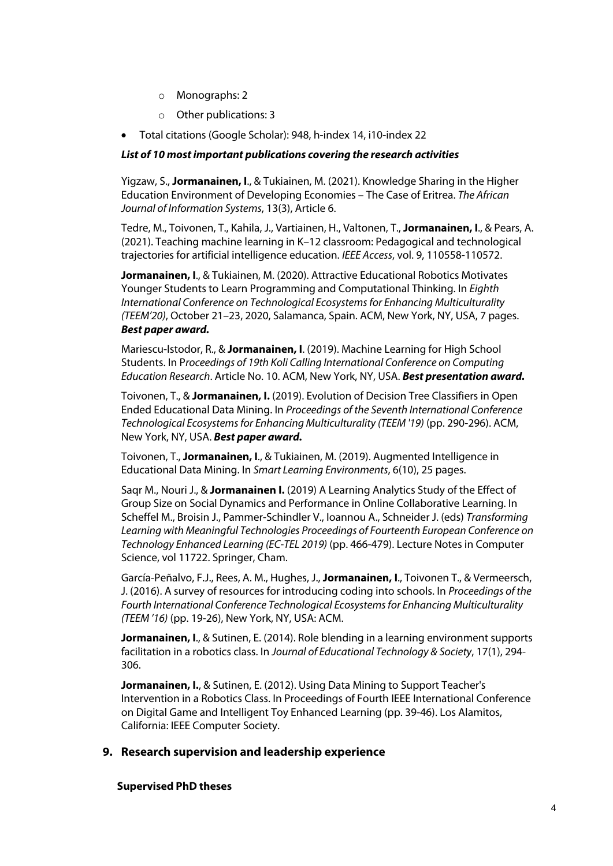- o Monographs: 2
- o Other publications: 3
- Total citations (Google Scholar): 948, h-index 14, i10-index 22

#### *List of 10 most important publications covering the research activities*

Yigzaw, S., **Jormanainen, I**., & Tukiainen, M. (2021). Knowledge Sharing in the Higher Education Environment of Developing Economies – The Case of Eritrea. *The African Journal of Information Systems*, 13(3), Article 6.

Tedre, M., Toivonen, T., Kahila, J., Vartiainen, H., Valtonen, T., **Jormanainen, I**., & Pears, A. (2021). Teaching machine learning in K–12 classroom: Pedagogical and technological trajectories for artificial intelligence education. *IEEE Access*, vol. 9, 110558-110572.

**Jormanainen, I**., & Tukiainen, M. (2020). Attractive Educational Robotics Motivates Younger Students to Learn Programming and Computational Thinking. In *Eighth International Conference on Technological Ecosystems for Enhancing Multiculturality (TEEM'20)*, October 21–23, 2020, Salamanca, Spain. ACM, New York, NY, USA, 7 pages. *Best paper award.*

Mariescu-Istodor, R., & **Jormanainen, I**. (2019). Machine Learning for High School Students. In P*roceedings of 19th Koli Calling International Conference on Computing Education Research*. Article No. 10. ACM, New York, NY, USA. *Best presentation award.*

Toivonen, T., & **Jormanainen, I.** (2019). Evolution of Decision Tree Classifiers in Open Ended Educational Data Mining. In *Proceedings of the Seventh International Conference Technological Ecosystems for Enhancing Multiculturality (TEEM '19)* (pp. 290-296). ACM, New York, NY, USA. *Best paper award.*

Toivonen, T., **Jormanainen, I**., & Tukiainen, M. (2019). Augmented Intelligence in Educational Data Mining. In *Smart Learning Environments*, 6(10), 25 pages.

Saqr M., Nouri J., & **Jormanainen I.** (2019) A Learning Analytics Study of the Effect of Group Size on Social Dynamics and Performance in Online Collaborative Learning. In Scheffel M., Broisin J., Pammer-Schindler V., Ioannou A., Schneider J. (eds) *Transforming Learning with Meaningful Technologies Proceedings of Fourteenth European Conference on Technology Enhanced Learning (EC-TEL 2019)* (pp. 466-479). Lecture Notes in Computer Science, vol 11722. Springer, Cham.

García-Peñalvo, F.J., Rees, A. M., Hughes, J., **Jormanainen, I**., Toivonen T., & Vermeersch, J. (2016). A survey of resources for introducing coding into schools. In *Proceedings of the Fourth International Conference Technological Ecosystems for Enhancing Multiculturality (TEEM '16)* (pp. 19-26), New York, NY, USA: ACM.

**Jormanainen, I**., & Sutinen, E. (2014). Role blending in a learning environment supports facilitation in a robotics class. In *Journal of Educational Technology & Society*, 17(1), 294- 306.

**Jormanainen, I., & Sutinen, E. (2012). Using Data Mining to Support Teacher's** Intervention in a Robotics Class. In Proceedings of Fourth IEEE International Conference on Digital Game and Intelligent Toy Enhanced Learning (pp. 39-46). Los Alamitos, California: IEEE Computer Society.

## **9. Research supervision and leadership experience**

#### **Supervised PhD theses**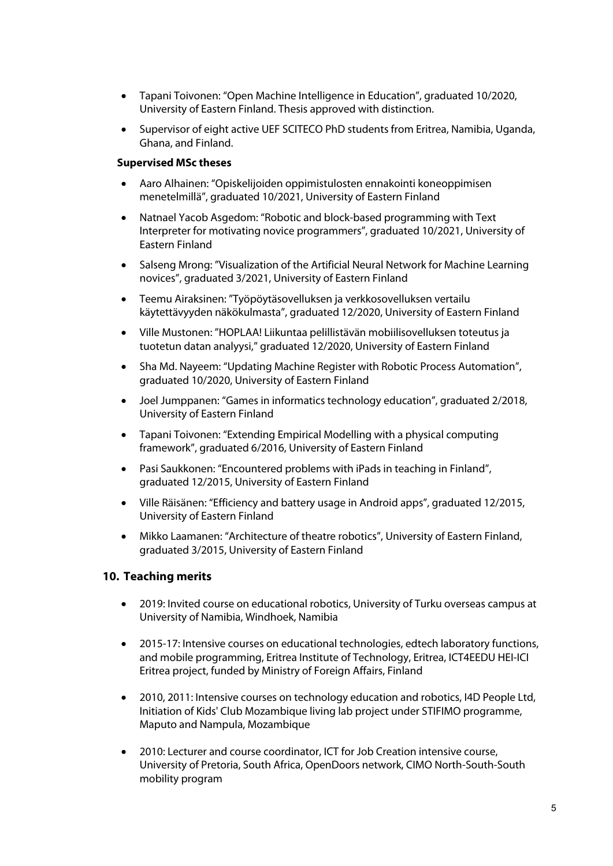- Tapani Toivonen: "Open Machine Intelligence in Education", graduated 10/2020, University of Eastern Finland. Thesis approved with distinction.
- Supervisor of eight active UEF SCITECO PhD students from Eritrea, Namibia, Uganda, Ghana, and Finland.

#### **Supervised MSc theses**

- Aaro Alhainen: "Opiskelijoiden oppimistulosten ennakointi koneoppimisen menetelmillä", graduated 10/2021, University of Eastern Finland
- Natnael Yacob Asgedom: "Robotic and block-based programming with Text Interpreter for motivating novice programmers", graduated 10/2021, University of Eastern Finland
- Salseng Mrong: "Visualization of the Artificial Neural Network for Machine Learning novices", graduated 3/2021, University of Eastern Finland
- Teemu Airaksinen: "Työpöytäsovelluksen ja verkkosovelluksen vertailu käytettävyyden näkökulmasta", graduated 12/2020, University of Eastern Finland
- Ville Mustonen: "HOPLAA! Liikuntaa pelillistävän mobiilisovelluksen toteutus ja tuotetun datan analyysi," graduated 12/2020, University of Eastern Finland
- Sha Md. Nayeem: "Updating Machine Register with Robotic Process Automation", graduated 10/2020, University of Eastern Finland
- Joel Jumppanen: "Games in informatics technology education", graduated 2/2018, University of Eastern Finland
- Tapani Toivonen: "Extending Empirical Modelling with a physical computing framework", graduated 6/2016, University of Eastern Finland
- Pasi Saukkonen: "Encountered problems with iPads in teaching in Finland", graduated 12/2015, University of Eastern Finland
- Ville Räisänen: "Efficiency and battery usage in Android apps", graduated 12/2015, University of Eastern Finland
- Mikko Laamanen: "Architecture of theatre robotics", University of Eastern Finland, graduated 3/2015, University of Eastern Finland

## **10. Teaching merits**

- 2019: Invited course on educational robotics, University of Turku overseas campus at University of Namibia, Windhoek, Namibia
- 2015-17: Intensive courses on educational technologies, edtech laboratory functions, and mobile programming, Eritrea Institute of Technology, Eritrea, ICT4EEDU HEI-ICI Eritrea project, funded by Ministry of Foreign Affairs, Finland
- 2010, 2011: Intensive courses on technology education and robotics, I4D People Ltd, Initiation of Kids' Club Mozambique living lab project under STIFIMO programme, Maputo and Nampula, Mozambique
- 2010: Lecturer and course coordinator, ICT for Job Creation intensive course, University of Pretoria, South Africa, OpenDoors network, CIMO North-South-South mobility program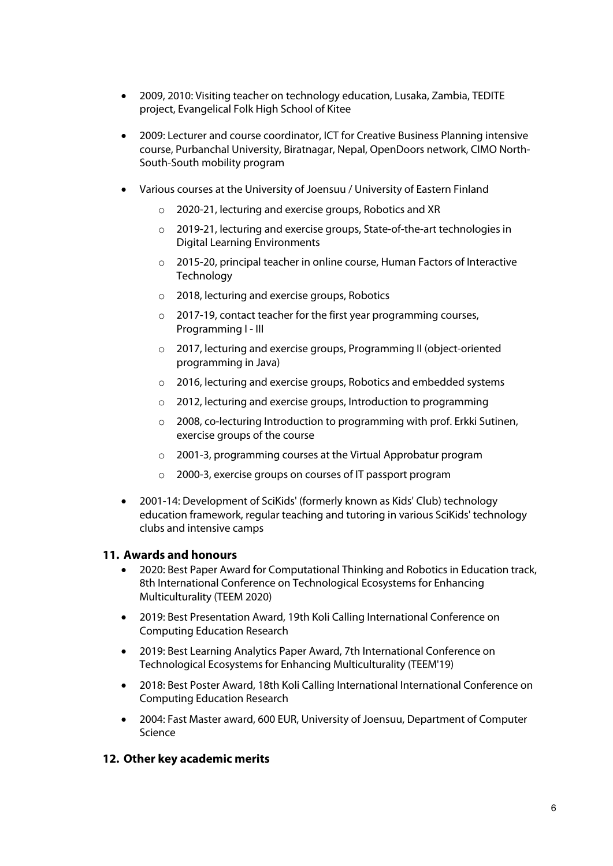- 2009, 2010: Visiting teacher on technology education, Lusaka, Zambia, TEDITE project, Evangelical Folk High School of Kitee
- 2009: Lecturer and course coordinator, ICT for Creative Business Planning intensive course, Purbanchal University, Biratnagar, Nepal, OpenDoors network, CIMO North-South-South mobility program
- Various courses at the University of Joensuu / University of Eastern Finland
	- o 2020-21, lecturing and exercise groups, Robotics and XR
	- o 2019-21, lecturing and exercise groups, State-of-the-art technologies in Digital Learning Environments
	- o 2015-20, principal teacher in online course, Human Factors of Interactive **Technology**
	- o 2018, lecturing and exercise groups, Robotics
	- o 2017-19, contact teacher for the first year programming courses, Programming I - III
	- o 2017, lecturing and exercise groups, Programming II (object-oriented programming in Java)
	- o 2016, lecturing and exercise groups, Robotics and embedded systems
	- o 2012, lecturing and exercise groups, Introduction to programming
	- o 2008, co-lecturing Introduction to programming with prof. Erkki Sutinen, exercise groups of the course
	- o 2001-3, programming courses at the Virtual Approbatur program
	- o 2000-3, exercise groups on courses of IT passport program
- 2001-14: Development of SciKids' (formerly known as Kids' Club) technology education framework, regular teaching and tutoring in various SciKids' technology clubs and intensive camps

# **11. Awards and honours**

- 2020: Best Paper Award for Computational Thinking and Robotics in Education track, 8th International Conference on Technological Ecosystems for Enhancing Multiculturality (TEEM 2020)
- 2019: Best Presentation Award, 19th Koli Calling International Conference on Computing Education Research
- 2019: Best Learning Analytics Paper Award, 7th International Conference on Technological Ecosystems for Enhancing Multiculturality (TEEM'19)
- 2018: Best Poster Award, 18th Koli Calling International International Conference on Computing Education Research
- 2004: Fast Master award, 600 EUR, University of Joensuu, Department of Computer Science

# **12. Other key academic merits**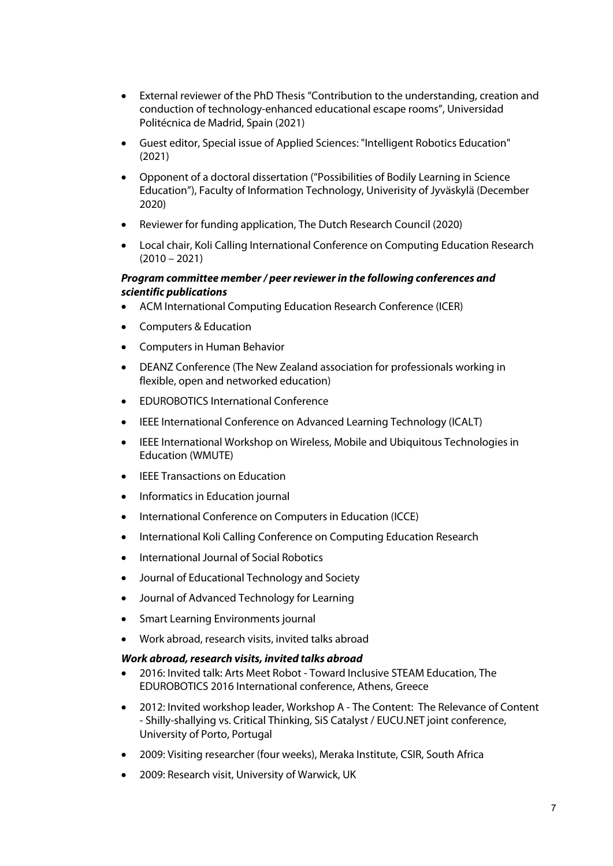- External reviewer of the PhD Thesis "Contribution to the understanding, creation and conduction of technology-enhanced educational escape rooms", Universidad Politécnica de Madrid, Spain (2021)
- Guest editor, Special issue of Applied Sciences: "Intelligent Robotics Education" (2021)
- Opponent of a doctoral dissertation ("Possibilities of Bodily Learning in Science Education"), Faculty of Information Technology, Univerisity of Jyväskylä (December 2020)
- Reviewer for funding application, The Dutch Research Council (2020)
- Local chair, Koli Calling International Conference on Computing Education Research  $(2010 - 2021)$

#### *Program committee member / peer reviewer in the following conferences and scientific publications*

- ACM International Computing Education Research Conference (ICER)
- Computers & Education
- Computers in Human Behavior
- DEANZ Conference (The New Zealand association for professionals working in flexible, open and networked education)
- EDUROBOTICS International Conference
- IEEE International Conference on Advanced Learning Technology (ICALT)
- IEEE International Workshop on Wireless, Mobile and Ubiquitous Technologies in Education (WMUTE)
- **IEEE Transactions on Education**
- Informatics in Education journal
- International Conference on Computers in Education (ICCE)
- International Koli Calling Conference on Computing Education Research
- International Journal of Social Robotics
- Journal of Educational Technology and Society
- Journal of Advanced Technology for Learning
- Smart Learning Environments journal
- Work abroad, research visits, invited talks abroad

#### *Work abroad, research visits, invited talks abroad*

- 2016: Invited talk: Arts Meet Robot Toward Inclusive STEAM Education, The EDUROBOTICS 2016 International conference, Athens, Greece
- 2012: Invited workshop leader, Workshop A The Content: The Relevance of Content - Shilly-shallying vs. Critical Thinking, SiS Catalyst / EUCU.NET joint conference, University of Porto, Portugal
- 2009: Visiting researcher (four weeks), Meraka Institute, CSIR, South Africa
- 2009: Research visit, University of Warwick, UK